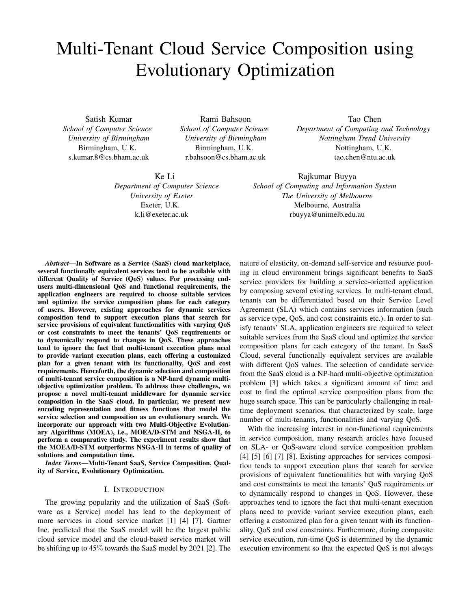# Multi-Tenant Cloud Service Composition using Evolutionary Optimization

Satish Kumar *School of Computer Science University of Birmingham* Birmingham, U.K. s.kumar.8@cs.bham.ac.uk

Rami Bahsoon *School of Computer Science University of Birmingham* Birmingham, U.K. r.bahsoon@cs.bham.ac.uk

Ke Li *Department of Computer Science University of Exeter* Exeter, U.K. k.li@exeter.ac.uk

Tao Chen *Department of Computing and Technology Nottingham Trend University* Nottingham, U.K. tao.chen@ntu.ac.uk

Rajkumar Buyya *School of Computing and Information System The University of Melbourne* Melbourne, Australia rbuyya@unimelb.edu.au

*Abstract*—In Software as a Service (SaaS) cloud marketplace, several functionally equivalent services tend to be available with different Quality of Service (QoS) values. For processing endusers multi-dimensional QoS and functional requirements, the application engineers are required to choose suitable services and optimize the service composition plans for each category of users. However, existing approaches for dynamic services composition tend to support execution plans that search for service provisions of equivalent functionalities with varying QoS or cost constraints to meet the tenants' QoS requirements or to dynamically respond to changes in QoS. These approaches tend to ignore the fact that multi-tenant execution plans need to provide variant execution plans, each offering a customized plan for a given tenant with its functionality, QoS and cost requirements. Henceforth, the dynamic selection and composition of multi-tenant service composition is a NP-hard dynamic multiobjective optimization problem. To address these challenges, we propose a novel multi-tenant middleware for dynamic service composition in the SaaS cloud. In particular, we present new encoding representation and fitness functions that model the service selection and composition as an evolutionary search. We incorporate our approach with two Multi-Objective Evolutionary Algorithms (MOEA), i.e., MOEA/D-STM and NSGA-II, to perform a comparative study. The experiment results show that the MOEA/D-STM outperforms NSGA-II in terms of quality of solutions and computation time.

*Index Terms*—Multi-Tenant SaaS, Service Composition, Quality of Service, Evolutionary Optimization.

## I. INTRODUCTION

The growing popularity and the utilization of SaaS (Software as a Service) model has lead to the deployment of more services in cloud service market [1] [4] [7]. Gartner Inc. predicted that the SaaS model will be the largest public cloud service model and the cloud-based service market will be shifting up to 45% towards the SaaS model by 2021 [2]. The

nature of elasticity, on-demand self-service and resource pooling in cloud environment brings significant benefits to SaaS service providers for building a service-oriented application by composing several existing services. In multi-tenant cloud, tenants can be differentiated based on their Service Level Agreement (SLA) which contains services information (such as service type, QoS, and cost constraints etc.). In order to satisfy tenants' SLA, application engineers are required to select suitable services from the SaaS cloud and optimize the service composition plans for each category of the tenant. In SaaS Cloud, several functionally equivalent services are available with different QoS values. The selection of candidate service from the SaaS cloud is a NP-hard multi-objective optimization problem [3] which takes a significant amount of time and cost to find the optimal service composition plans from the huge search space. This can be particularly challenging in realtime deployment scenarios, that characterized by scale, large number of multi-tenants, functionalities and varying QoS.

With the increasing interest in non-functional requirements in service composition, many research articles have focused on SLA- or QoS-aware cloud service composition problem [4] [5] [6] [7] [8]. Existing approaches for services composition tends to support execution plans that search for service provisions of equivalent functionalities but with varying QoS and cost constraints to meet the tenants' QoS requirements or to dynamically respond to changes in QoS. However, these approaches tend to ignore the fact that multi-tenant execution plans need to provide variant service execution plans, each offering a customized plan for a given tenant with its functionality, QoS and cost constraints. Furthermore, during composite service execution, run-time QoS is determined by the dynamic execution environment so that the expected QoS is not always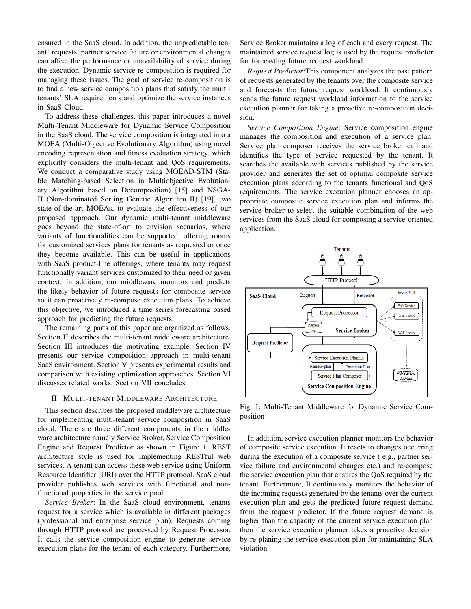ensured in the SaaS cloud. In addition, the unpredictable tenant' requests, partner service failure or environmental changes can affect the performance or unavailability of service during the execution. Dynamic service re-composition is required for managing these issues. The goal of service re-composition is to find a new service composition plans that satisfy the multitenants' SLA requirements and optimize the service instances in SaaS Cloud.

To address these challenges, this paper introduces a novel Multi-Tenant Middleware for Dynamic Service Composition in the SaaS cloud. The service composition is integrated into a MOEA (Multi-Objective Evolutionary Algorithm) using novel encoding representation and fitness evaluation strategy, which explicitly considers the multi-tenant and QoS requirements. We conduct a comparative study using MOEAD-STM (Stable Matching-based Selection in Multiobjective Evolutionary Algorithm based on Decomposition) [15] and NSGA-II (Non-dominated Sorting Genetic Algorithm II) [19], two state-of-the-art MOEAs, to evaluate the effectiveness of our proposed approach. Our dynamic multi-tenant middleware goes beyond the state-of-art to envision scenarios, where variants of functionalities can be supported, offering rooms for customized services plans for tenants as requested or once they become available. This can be useful in applications with SaaS product-line offerings, where tenants may request functionally variant services customized to their need or given context. In addition, our middleware monitors and predicts the likely behavior of future requests for composite service so it can proactively re-compose execution plans. To achieve this objective, we introduced a time series forecasting based approach for predicting the future requests.

The remaining parts of this paper are organized as follows. Section II describes the multi-tenant middleware architecture. Section III introduces the motivating example. Section IV presents our service composition approach in multi-tenant SaaS environment. Section V presents experimental results and comparison with existing optimization approaches. Section VI discusses related works. Section VII concludes.

# II. MULTI-TENANT MIDDLEWARE ARCHITECTURE

This section describes the proposed middleware architecture for implementing multi-tenant service composition in SaaS cloud. There are three different components in the middleware architecture namely Service Broker, Service Composition Engine and Request Predictor as shown in Figure 1. REST architecture style is used for implementing RESTful web services. A tenant can access these web service using Uniform Resource Identifier (URI) over the HTTP protocol. SaaS cloud provider publishes web services with functional and nonfunctional properties in the service pool.

*Service Broker*: In the SaaS cloud environment, tenants request for a service which is available in different packages (professional and enterprise service plan). Requests coming through HTTP protocol are processed by Request Processor. It calls the service composition engine to generate service execution plans for the tenant of each category. Furthermore, Service Broker maintains a log of each and every request. The maintained service request log is used by the request predictor for forecasting future request workload.

*Request Predictor*:This component analyzes the past pattern of requests generated by the tenants over the composite service and forecasts the future request workload. It continuously sends the future request workload information to the service execution planner for taking a proactive re-composition decision.

*Service Composition Engine*: Service composition engine manages the composition and execution of a service plan. Service plan composer receives the service broker call and identifies the type of service requested by the tenant. It searches the available web services published by the service provider and generates the set of optimal composite service execution plans according to the tenants functional and QoS requirements. The service execution planner chooses an appropriate composite service execution plan and informs the service broker to select the suitable combination of the web services from the SaaS cloud for composing a service-oriented application.



Fig. 1: Multi-Tenant Middleware for Dynamic Service Composition

In addition, service execution planner monitors the behavior of composite service execution. It reacts to changes occurring during the execution of a composite service ( e.g., partner service failure and environmental changes etc.) and re-compose the service execution plan that ensures the QoS required by the tenant. Furthermore, It continuously monitors the behavior of the incoming requests generated by the tenants over the current execution plan and gets the predicted future request demand from the request predictor. If the future request demand is higher than the capacity of the current service execution plan then the service execution planner takes a proactive decision by re-planing the service execution plan for maintaining SLA violation.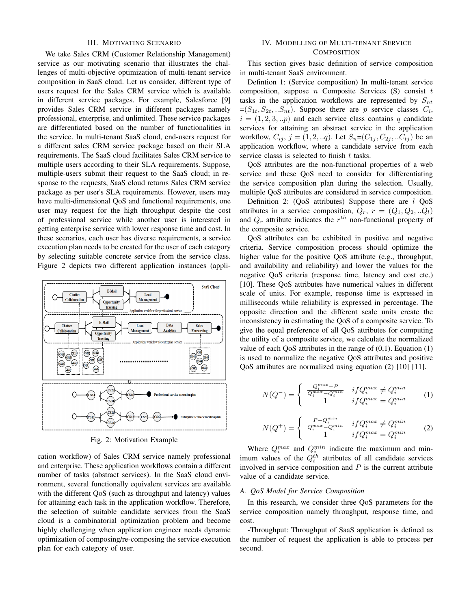## III. MOTIVATING SCENARIO

We take Sales CRM (Customer Relationship Management) service as our motivating scenario that illustrates the challenges of multi-objective optimization of multi-tenant service composition in SaaS cloud. Let us consider, different type of users request for the Sales CRM service which is available in different service packages. For example, Salesforce [9] provides Sales CRM service in different packages namely professional, enterprise, and unlimited. These service packages are differentiated based on the number of functionalities in the service. In multi-tenant SaaS cloud, end-users request for a different sales CRM service package based on their SLA requirements. The SaaS cloud facilitates Sales CRM service to multiple users according to their SLA requirements. Suppose, multiple-users submit their request to the SaaS cloud; in response to the requests, SaaS cloud returns Sales CRM service package as per user's SLA requirements. However, users may have multi-dimensional QoS and functional requirements, one user may request for the high throughput despite the cost of professional service while another user is interested in getting enterprise service with lower response time and cost. In these scenarios, each user has diverse requirements, a service execution plan needs to be created for the user of each category by selecting suitable concrete service from the service class. Figure 2 depicts two different application instances (appli-



Fig. 2: Motivation Example

cation workflow) of Sales CRM service namely professional and enterprise. These application workflows contain a different number of tasks (abstract services). In the SaaS cloud environment, several functionally equivalent services are available with the different QoS (such as throughput and latency) values for attaining each task in the application workflow. Therefore, the selection of suitable candidate services from the SaaS cloud is a combinatorial optimization problem and become highly challenging when application engineer needs dynamic optimization of composing/re-composing the service execution plan for each category of user.

# IV. MODELLING OF MULTI-TENANT SERVICE **COMPOSITION**

This section gives basic definition of service composition in multi-tenant SaaS environment.

Defintion 1: (Service composition) In multi-tenant service composition, suppose n Composite Services  $(S)$  consist t tasks in the application workflows are represented by  $S_{nt}$  $=(S_{1t}, S_{2t},..S_{nt})$ . Suppose there are p service classes  $C_i$ ,  $i = (1, 2, 3, \ldots p)$  and each service class contains q candidate services for attaining an abstract service in the application workflow,  $C_{ij}$ ,  $j = (1, 2, ... q)$ . Let  $S_n = (C_{1i}, C_{2i}, ... C_{ti})$  be an application workflow, where a candidate service from each service classs is selected to finish  $t$  tasks.

QoS attributes are the non-functional properties of a web service and these QoS need to consider for differentiating the service composition plan during the selection. Usually, multiple QoS attributes are considered in service composition.

Definition 2: (QoS attributes) Suppose there are l QoS attributes in a service composition,  $Q_r$ ,  $r = (Q_1, Q_2, ... Q_l)$ and  $Q_r$  attribute indicates the  $r^{th}$  non-functional property of the composite service.

QoS attributes can be exhibited in positive and negative criteria. Service composition process should optimize the higher value for the positive QoS attribute (e.g., throughput, and availability and reliability) and lower the values for the negative QoS criteria (response time, latency and cost etc.) [10]. These QoS attributes have numerical values in different scale of units. For example, response time is expressed in milliseconds while reliability is expressed in percentage. The opposite direction and the different scale units create the inconsistency in estimating the QoS of a composite service. To give the equal preference of all QoS attributes for computing the utility of a composite service, we calculate the normalized value of each QoS attributes in the range of  $(0,1)$ . Equation  $(1)$ is used to normalize the negative QoS attributes and positive QoS attributes are normalized using equation (2) [10] [11].

$$
N(Q^{-}) = \begin{cases} \frac{Q_i^{max} - P}{Q_i^{max} - Q_i^{min}} & if Q_i^{max} \neq Q_i^{min} \\ 1 & if Q_i^{max} = Q_i^{min} \end{cases}
$$
 (1)

$$
N(Q^{+}) = \begin{cases} \frac{P - Q_i^{min}}{Q_i^{max} - Q_i^{min}} & if Q_i^{max} \neq Q_i^{min} \\ 1 & if Q_i^{max} = Q_i^{min} \end{cases}
$$
 (2)

Where  $Q_i^{max}$  and  $Q_i^{min}$  indicate the maximum and minimum values of the  $Q_i^{th}$  attributes of all candidate services involved in service composition and  $P$  is the current attribute value of a candidate service.

#### *A. QoS Model for Service Composition*

In this research, we consider three QoS parameters for the service composition namely throughput, response time, and cost.

-Throughput: Throughput of SaaS application is defined as the number of request the application is able to process per second.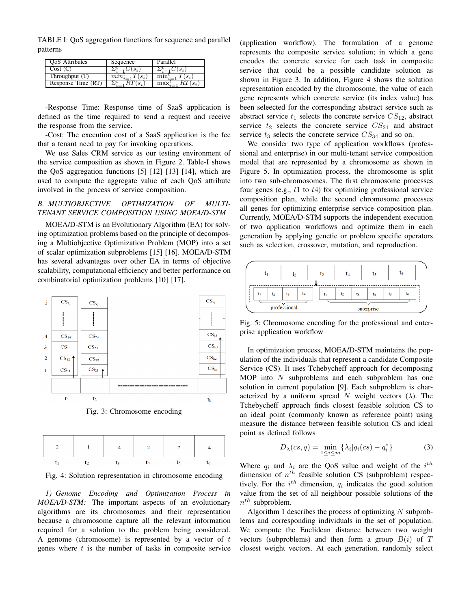TABLE I: QoS aggregation functions for sequence and parallel patterns

| <b>OoS</b> Attributes | Sequence | Parallel |
|-----------------------|----------|----------|
| Cost (C)              | $S_i$    | $S_{ii}$ |
| Throughput (T)        |          |          |
| Response Time (RT)    |          |          |

-Response Time: Response time of SaaS application is defined as the time required to send a request and receive the response from the service.

-Cost: The execution cost of a SaaS application is the fee that a tenant need to pay for invoking operations.

We use Sales CRM service as our testing environment of the service composition as shown in Figure 2. Table-I shows the QoS aggregation functions [5] [12] [13] [14], which are used to compute the aggregate value of each QoS attribute involved in the process of service composition.

# *B. MULTIOBJECTIVE OPTIMIZATION OF MULTI-TENANT SERVICE COMPOSITION USING MOEA/D-STM*

MOEA/D-STM is an Evolutionary Algorithm (EA) for solving optimization problems based on the principle of decomposing a Multiobjective Optimization Problem (MOP) into a set of scalar optimization subproblems [15] [16]. MOEA/D-STM has several advantages over other EA in terms of objective scalability, computational efficiency and better performance on combinatorial optimization problems [10] [17].



Fig. 3: Chromosome encoding



Fig. 4: Solution representation in chromosome encoding

*1) Genome Encoding and Optimization Process in MOEA/D-STM:* The important aspects of an evolutionary algorithms are its chromosomes and their representation because a chromosome capture all the relevant information required for a solution to the problem being considered. A genome (chromosome) is represented by a vector of  $t$ genes where  $t$  is the number of tasks in composite service

(application workflow). The formulation of a genome represents the composite service solution; in which a gene encodes the concrete service for each task in composite service that could be a possible candidate solution as shown in Figure 3. In addition, Figure 4 shows the solution representation encoded by the chromosome, the value of each gene represents which concrete service (its index value) has been seleected for the corresponding abstract service such as abstract service  $t_1$  selects the concrete service  $CS_{12}$ , abstract service  $t_2$  selects the concrete service  $CS_{21}$  and abstract service  $t_3$  selects the concrete service  $CS_{34}$  and so on.

We consider two type of application workflows (professional and enterprise) in our multi-tenant service composition model that are represented by a chromosome as shown in Figure 5. In optimization process, the chromosome is split into two sub-chromosomes. The first chromosome processes four genes (e.g.,  $t1$  to  $t4$ ) for optimizing professional service composition plan, while the second chromosome processes all genes for optimizing enterprise service composition plan. Currently, MOEA/D-STM supports the independent execution of two application workflows and optimize them in each generation by applying genetic or problem specific operators such as selection, crossover, mutation, and reproduction.



Fig. 5: Chromosome encoding for the professional and enterprise application workflow

In optimization process, MOEA/D-STM maintains the population of the individuals that represent a candidate Composite Service (CS). It uses Tchebycheff approach for decomposing MOP into N subproblems and each subproblem has one solution in current population [9]. Each subproblem is characterized by a uniform spread N weight vectors  $(\lambda)$ . The Tchebycheff approach finds closest feasible solution CS to an ideal point (commonly known as reference point) using measure the distance between feasible solution CS and ideal point as defined follows

$$
D_{\lambda}(cs, q) = \min_{1 \leq i \leq m} \{ \lambda_i | q_i(cs) - q_i^* \}
$$
 (3)

Where  $q_i$  and  $\lambda_i$  are the QoS value and weight of the  $i^{th}$ dimension of  $n^{th}$  feasible solution CS (subproblem) respectively. For the  $i^{th}$  dimension,  $q_i$  indicates the good solution value from the set of all neighbour possible solutions of the  $n^{th}$  subproblem.

Algorithm 1 describes the process of optimizing  $N$  subproblems and corresponding individuals in the set of population. We compute the Euclidean distance between two weight vectors (subproblems) and then form a group  $B(i)$  of T closest weight vectors. At each generation, randomly select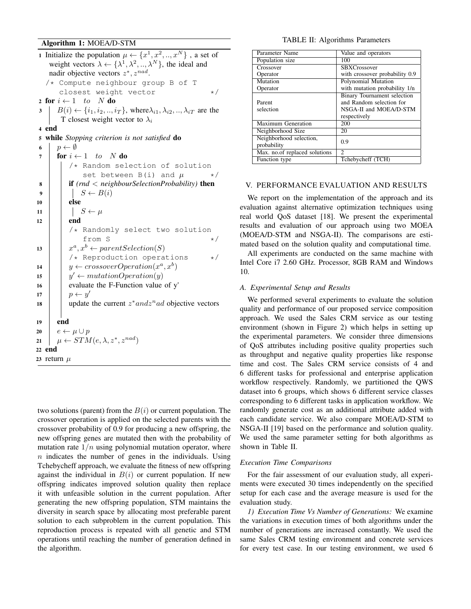# Algorithm 1: MOEA/D-STM

```
1 Initialize the population \mu \leftarrow \{x^1, x^2, ..., x^N\}, a set of
    weight vectors \lambda \leftarrow {\{\lambda^1, \lambda^2, ..., \lambda^N\}}, the ideal and
    nadir objective vectors z^*, z^{nad}./* Compute neighbour group B of T
       closest weight vector */
2 for i \leftarrow 1 to N do
3 \mid B(i) \leftarrow \{i_1, i_2, ..., i_T\}, where \lambda_{i1}, \lambda_{i2}, ..., \lambda_{iT} are the
        T closest weight vector to \lambda_i4 end
5 while Stopping criterion is not satisfied do
6 | p \leftarrow \emptyset7 for i \leftarrow 1 to N do
          /* Random selection of solution
               set between B(i) and \mu */
 8 if (rnd < neighbourSelectionProbability) then
 9 | | S \leftarrow B(i)10 else
11 \vert \vert S \leftarrow \mu12 end
          /* Randomly select two solution
               from S \star/13 \vert x^a, x^b \leftarrow parentSelection(S)/* Reproduction operations */
14 \vert y \leftarrow crossoverOperation(x^a, x^b)15 \vert y' \leftarrow mutationOperation(y)16 evaluate the F-Function value of y'
17 \vert \quad \vert p \leftarrow y'18 | update the current z^* and z^n ad objective vectors
19 end
20 e \leftarrow \mu \cup p21 \mu \leftarrow STM(e, \lambda, z^*, z^{nad})22 end
23 return \mu
```
two solutions (parent) from the  $B(i)$  or current population. The crossover operation is applied on the selected parents with the crossover probability of 0.9 for producing a new offspring, the new offspring genes are mutated then with the probability of mutation rate  $1/n$  using polynomial mutation operator, where  $n$  indicates the number of genes in the individuals. Using Tchebycheff approach, we evaluate the fitness of new offspring against the individual in  $B(i)$  or current population. If new offspring indicates improved solution quality then replace it with unfeasible solution in the current population. After generating the new offspring population, STM maintains the diversity in search space by allocating most preferable parent solution to each subproblem in the current population. This reproduction process is repeated with all genetic and STM operations until reaching the number of generation defined in the algorithm.

## TABLE II: Algorithms Parameters

| Parameter Name                | Value and operators                                     |  |
|-------------------------------|---------------------------------------------------------|--|
| Population size               | 100                                                     |  |
| Crossover                     | <b>SBXCrossover</b>                                     |  |
| Operator                      | with crossover probability 0.9                          |  |
| Mutation                      | Polynomial Mutation                                     |  |
| Operator                      | with mutation probability 1/n                           |  |
| Parent                        | Binary Tournament selection<br>and Random selection for |  |
| selection                     | NSGA-II and MOEA/D-STM                                  |  |
|                               | respectively                                            |  |
| <b>Maximum Generation</b>     | 200                                                     |  |
| Neighborhood Size             | 20                                                      |  |
| Neighborhood selection,       | 0.9                                                     |  |
| probability                   |                                                         |  |
| Max. no.of replaced solutions | 2                                                       |  |
| Function type                 | Tchebycheff (TCH)                                       |  |

# V. PERFORMANCE EVALUATION AND RESULTS

We report on the implementation of the approach and its evaluation against alternative optimization techniques using real world QoS dataset [18]. We present the experimental results and evaluation of our approach using two MOEA (MOEA/D-STM and NSGA-II). The comparisons are estimated based on the solution quality and computational time.

All experiments are conducted on the same machine with Intel Core i7 2.60 GHz. Processor, 8GB RAM and Windows 10.

## *A. Experimental Setup and Results*

We performed several experiments to evaluate the solution quality and performance of our proposed service composition approach. We used the Sales CRM service as our testing environment (shown in Figure 2) which helps in setting up the experimental parameters. We consider three dimensions of QoS attributes including positive quality properties such as throughput and negative quality properties like response time and cost. The Sales CRM service consists of 4 and 6 different tasks for professional and enterprise application workflow respectively. Randomly, we partitioned the QWS dataset into 6 groups, which shows 6 different service classes corresponding to 6 different tasks in application workflow. We randomly generate cost as an additional attribute added with each candidate service. We also compare MOEA/D-STM to NSGA-II [19] based on the performance and solution quality. We used the same parameter setting for both algorithms as shown in Table II.

### *Execution Time Comparisons*

For the fair assessment of our evaluation study, all experiments were executed 30 times independently on the specified setup for each case and the average measure is used for the evaluation study.

*1) Execution Time Vs Number of Generations:* We examine the variations in execution times of both algorithms under the number of generations are increased constantly. We used the same Sales CRM testing environment and concrete services for every test case. In our testing environment, we used 6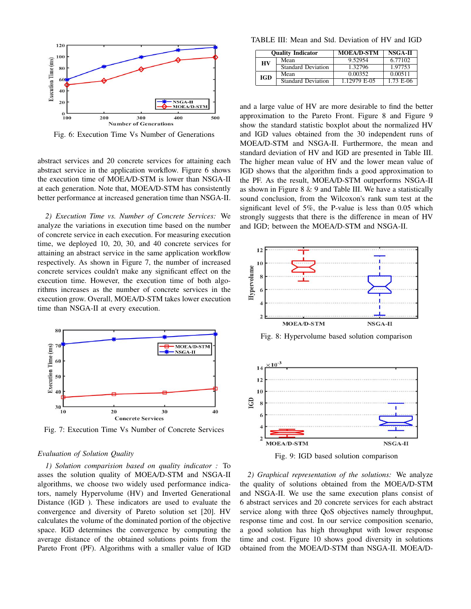

Fig. 6: Execution Time Vs Number of Generations

abstract services and 20 concrete services for attaining each abstract service in the application workflow. Figure 6 shows the execution time of MOEA/D-STM is lower than NSGA-II at each generation. Note that, MOEA/D-STM has consistently better performance at increased generation time than NSGA-II.

*2) Execution Time vs. Number of Concrete Services:* We analyze the variations in execution time based on the number of concrete service in each execution. For measuring execution time, we deployed 10, 20, 30, and 40 concrete services for attaining an abstract service in the same application workflow respectively. As shown in Figure 7, the number of increased concrete services couldn't make any significant effect on the execution time. However, the execution time of both algorithms increases as the number of concrete services in the execution grow. Overall, MOEA/D-STM takes lower execution time than NSGA-II at every execution.



Fig. 7: Execution Time Vs Number of Concrete Services

### *Evaluation of Solution Quality*

*1) Solution comparision based on quality indicator :* To asses the solution quality of MOEA/D-STM and NSGA-II algorithms, we choose two widely used performance indicators, namely Hypervolume (HV) and Inverted Generational Distance (IGD ). These indicators are used to evaluate the convergence and diversity of Pareto solution set [20]. HV calculates the volume of the dominated portion of the objective space. IGD determines the convergence by computing the average distance of the obtained solutions points from the Pareto Front (PF). Algorithms with a smaller value of IGD

TABLE III: Mean and Std. Deviation of HV and IGD

|     | <b>Ouality Indicator</b>  | <b>MOEA/D-STM</b> | NSGA-II   |
|-----|---------------------------|-------------------|-----------|
| HV  | Mean                      | 9.52954           | 6.77102   |
|     | <b>Standard Deviation</b> | 1.32796           | 1.97753   |
| IGD | Mean                      | 0.00352           | 0.00511   |
|     | Standard Deviation        | 1.12979 E-05      | 1.73 E-06 |

and a large value of HV are more desirable to find the better approximation to the Pareto Front. Figure 8 and Figure 9 show the standard statistic boxplot about the normalized HV and IGD values obtained from the 30 independent runs of MOEA/D-STM and NSGA-II. Furthermore, the mean and standard deviation of HV and IGD are presented in Table III. The higher mean value of HV and the lower mean value of IGD shows that the algorithm finds a good approximation to the PF. As the result, MOEA/D-STM outperforms NSGA-II as shown in Figure 8  $\&$  9 and Table III. We have a statistically sound conclusion, from the Wilcoxon's rank sum test at the significant level of 5%, the P-value is less than 0.05 which strongly suggests that there is the difference in mean of HV and IGD; between the MOEA/D-STM and NSGA-II.



Fig. 8: Hypervolume based solution comparison



Fig. 9: IGD based solution comparison

*2) Graphical representation of the solutions:* We analyze the quality of solutions obtained from the MOEA/D-STM and NSGA-II. We use the same execution plans consist of 6 abstract services and 20 concrete services for each abstract service along with three QoS objectives namely throughput, response time and cost. In our service composition scenario, a good solution has high throughput with lower response time and cost. Figure 10 shows good diversity in solutions obtained from the MOEA/D-STM than NSGA-II. MOEA/D-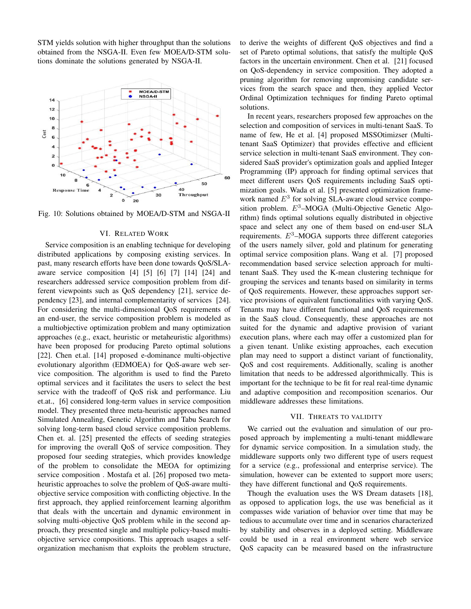STM yields solution with higher throughput than the solutions obtained from the NSGA-II. Even few MOEA/D-STM solutions dominate the solutions generated by NSGA-II.



Fig. 10: Solutions obtained by MOEA/D-STM and NSGA-II

# VI. RELATED WORK

Service composition is an enabling technique for developing distributed applications by composing existing services. In past, many research efforts have been done towards QoS/SLAaware service composition [4] [5] [6] [7] [14] [24] and researchers addressed service composition problem from different viewpoints such as QoS dependency [21], service dependency [23], and internal complementarity of services [24]. For considering the multi-dimensional QoS requirements of an end-user, the service composition problem is modeled as a multiobjective optimization problem and many optimization approaches (e.g., exact, heuristic or metaheuristic algorithms) have been proposed for producing Pareto optimal solutions [22]. Chen et.al. [14] proposed e-dominance multi-objective evolutionary algorithm (EDMOEA) for QoS-aware web service composition. The algorithm is used to find the Pareto optimal services and it facilitates the users to select the best service with the tradeoff of QoS risk and performance. Liu et.at., [6] considered long-term values in service composition model. They presented three meta-heuristic approaches named Simulated Annealing, Genetic Algorithm and Tabu Search for solving long-term based cloud service composition problems. Chen et. al. [25] presented the effects of seeding strategies for improving the overall QoS of service composition. They proposed four seeding strategies, which provides knowledge of the problem to consolidate the MEOA for optimizing service composition . Mostafa et al. [26] proposed two metaheuristic approaches to solve the problem of QoS-aware multiobjective service composition with conflicting objective. In the first approach, they applied reinforcement learning algorithm that deals with the uncertain and dynamic environment in solving multi-objective QoS problem while in the second approach, they presented single and multiple policy-based multiobjective service compositions. This approach usages a selforganization mechanism that exploits the problem structure, to derive the weights of different QoS objectives and find a set of Pareto optimal solutions, that satisfy the multiple QoS factors in the uncertain environment. Chen et al. [21] focused on QoS-dependency in service composition. They adopted a pruning algorithm for removing unpromising candidate services from the search space and then, they applied Vector Ordinal Optimization techniques for finding Pareto optimal solutions.

In recent years, researchers proposed few approaches on the selection and composition of services in multi-tenant SaaS. To name of few, He et al. [4] proposed MSSOtimizser (Multitenant SaaS Optimizer) that provides effective and efficient service selection in multi-tenant SaaS environment. They considered SaaS provider's optimization goals and applied Integer Programming (IP) approach for finding optimal services that meet different users QoS requirements including SaaS optimization goals. Wada et al. [5] presented optimization framework named  $E<sup>3</sup>$  for solving SLA-aware cloud service composition problem.  $E^3$ -MOGA (Multi-Objective Genetic Algorithm) finds optimal solutions equally distributed in objective space and select any one of them based on end-user SLA requirements.  $E<sup>3</sup>$ -MOGA supports three different categories of the users namely silver, gold and platinum for generating optimal service composition plans. Wang et al. [7] proposed recommendation based service selection approach for multitenant SaaS. They used the K-mean clustering technique for grouping the services and tenants based on similarity in terms of QoS requirements. However, these approaches support service provisions of equivalent functionalities with varying QoS. Tenants may have different functional and QoS requirements in the SaaS cloud. Consequently, these approaches are not suited for the dynamic and adaptive provision of variant execution plans, where each may offer a customized plan for a given tenant. Unlike existing approaches, each execution plan may need to support a distinct variant of functionality, QoS and cost requirements. Additionally, scaling is another limitation that needs to be addressed algorithmically. This is important for the technique to be fit for real real-time dynamic and adaptive composition and recomposition scenarios. Our middleware addresses these limitations.

### VII. THREATS TO VALIDITY

We carried out the evaluation and simulation of our proposed approach by implementing a multi-tenant middleware for dynamic service composition. In a simulation study, the middleware supports only two different type of users request for a service (e.g., professional and enterprise service). The simulation, however can be extented to support more users; they have different functional and QoS requirements.

Though the evaluation uses the WS Dream datasets [18], as opposed to application logs, the use was beneficial as it compasses wide variation of behavior over time that may be tedious to accumulate over time and in scenarios characterized by stability and observes in a deployed setting. Middleware could be used in a real environment where web service QoS capacity can be measured based on the infrastructure